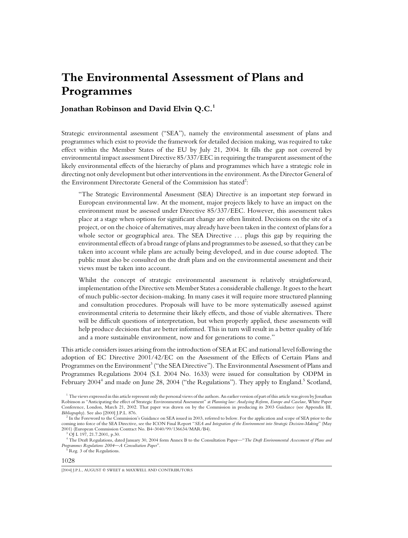# **The Environmental Assessment of Plans and Programmes**

# **Jonathan Robinson and David Elvin Q.C.1**

Strategic environmental assessment ("SEA"), namely the environmental assessment of plans and programmes which exist to provide the framework for detailed decision making, was required to take effect within the Member States of the EU by July 21, 2004. It fills the gap not covered by environmental impact assessment Directive 85/337/EEC in requiring the transparent assessment of the likely environmental effects of the hierarchy of plans and programmes which have a strategic role in directing not only development but other interventions in the environment. As the Director General of the Environment Directorate General of the Commission has stated<sup>2</sup>:

"The Strategic Environmental Assessment (SEA) Directive is an important step forward in European environmental law. At the moment, major projects likely to have an impact on the environment must be assessed under Directive 85/337/EEC. However, this assessment takes place at a stage when options for significant change are often limited. Decisions on the site of a project, or on the choice of alternatives, may already have been taken in the context of plans for a whole sector or geographical area. The SEA Directive ... plugs this gap by requiring the environmental effects of a broad range of plans and programmes to be assessed, so that they can be taken into account while plans are actually being developed, and in due course adopted. The public must also be consulted on the draft plans and on the environmental assessment and their views must be taken into account.

Whilst the concept of strategic environmental assessment is relatively straightforward, implementation of the Directive sets Member States a considerable challenge. It goes to the heart of much public-sector decision-making. In many cases it will require more structured planning and consultation procedures. Proposals will have to be more systematically assessed against environmental criteria to determine their likely effects, and those of viable alternatives. There will be difficult questions of interpretation, but when properly applied, these assessments will help produce decisions that are better informed. This in turn will result in a better quality of life and a more sustainable environment, now and for generations to come."

This article considers issues arising from the introduction of SEA at EC and national level following the adoption of EC Directive 2001/42/EC on the Assessment of the Effects of Certain Plans and Programmes on the Environment<sup>3</sup> ("the SEA Directive"). The Environmental Assessment of Plans and Programmes Regulations 2004 (S.I. 2004 No. 1633) were issued for consultation by ODPM in February 2004<sup>4</sup> and made on June 28, 2004 ("the Regulations"). They apply to England.<sup>5</sup> Scotland,

<sup>&</sup>lt;sup>1</sup> The views expressed in this article represent only the personal views of the authors. An earlier version of part of this article was given by Jonathan Robinson as "Anticipating the effect of Strategic Environmental Assessment" at *Planning law: Analysing Reform, Europe and Caselaw*, White Paper Conference, London, March 21, 2002. That paper was drawn on by the Commission in producing its 2003 Guidance (see Appendix III, Bibliography). See also [2000] J.P.L. 876.

<sup>&</sup>lt;sup>2</sup> In the Foreword to the Commission's Guidance on SEA issued in 2003, referred to below. For the application and scope of SEA prior to the coming into force of the SEA Directive, see the ICON Final Report "*SEA and Integration of the Environment into Strategic Decision-Making*" (May 2001) (European Commission Contract No. B4–3040/99/136634/MAR/B4). <sup>3</sup> OJ L 197, 21.7.2001, p.30.

<sup>4</sup> The Draft Regulations, dated January 30, 2004 form Annex B to the Consultation Paper—"*The Draft Environmental Assessment of Plans and Programmes Regulations 2004—A Consultation Paper*".<br><sup>5</sup> Reg. 3 of the Regulations.

<sup>1028</sup>

<sup>[2004]</sup> J.P.L., AUGUST © SWEET & MAXWELL AND CONTRIBUTORS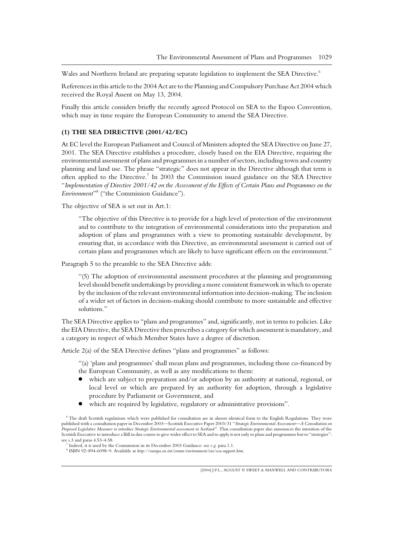Wales and Northern Ireland are preparing separate legislation to implement the SEA Directive.<sup>6</sup>

References in this article to the 2004 Act are to the Planning and Compulsory Purchase Act 2004 which received the Royal Assent on May 13, 2004.

Finally this article considers briefly the recently agreed Protocol on SEA to the Espoo Convention, which may in time require the European Community to amend the SEA Directive.

### **(1) THE SEA DIRECTIVE (2001/42/EC)**

At EC level the European Parliament and Council of Ministers adopted the SEA Directive on June 27, 2001. The SEA Directive establishes a procedure, closely based on the EIA Directive, requiring the environmental assessment of plans and programmes in a number of sectors, including town and country planning and land use. The phrase "strategic" does not appear in the Directive although that term is often applied to the Directive.<sup>7</sup> In 2003 the Commission issued guidance on the SEA Directive "*Implementation of Directive 2001/42 on the Assessment of the Effects of Certain Plans and Programmes on the Environment*"<sup>8</sup> ("the Commission Guidance").

The objective of SEA is set out in Art.1:

"The objective of this Directive is to provide for a high level of protection of the environment and to contribute to the integration of environmental considerations into the preparation and adoption of plans and programmes with a view to promoting sustainable development, by ensuring that, in accordance with this Directive, an environmental assessment is carried out of certain plans and programmes which are likely to have significant effects on the environment."

Paragraph 5 to the preamble to the SEA Directive adds:

"(5) The adoption of environmental assessment procedures at the planning and programming level should benefit undertakings by providing a more consistent framework in which to operate by the inclusion of the relevant environmental information into decision-making. The inclusion of a wider set of factors in decision-making should contribute to more sustainable and effective solutions."

The SEA Directive applies to "plans and programmes" and, significantly, not in terms to policies. Like the EIA Directive, the SEA Directive then prescribes a category for which assessment is mandatory, and a category in respect of which Member States have a degree of discretion.

Article 2(a) of the SEA Directive defines "plans and programmes" as follows:

"(a) 'plans and programmes' shall mean plans and programmes, including those co-financed by the European Community, as well as any modifications to them:

- which are subject to preparation and/or adoption by an authority at national, regional, or local level or which are prepared by an authority for adoption, through a legislative procedure by Parliament or Government, and
- which are required by legislative, regulatory or administrative provisions".

<sup>6</sup> The draft Scottish regulations which were published for consultation are in almost identical form to the English Regulations. They were published with a consultation paper in December 2003—Scottish Executive Paper 2003/31 "*Strategic Environmental Assessment—A Consultation on Proposed Legislative Measures to introduce Strategic Environmental assessment in Scotland"*. That consultation paper also announces the intention of the Scottish Executive to introduce a Bill in due course to give wider effect to SEA and to apply it not only to plans and programmes but to "strategies":<br>see s.3 and paras 4.53–4.58.

 $^7$  Indeed, it is used by the Commission in its December 2003 Guidance: see e.g. para.1.1.<br><sup>8</sup> ISBN 92-894-6098-9. Available at http://europa.eu.int/comm/environment/eia/sea-support.htm.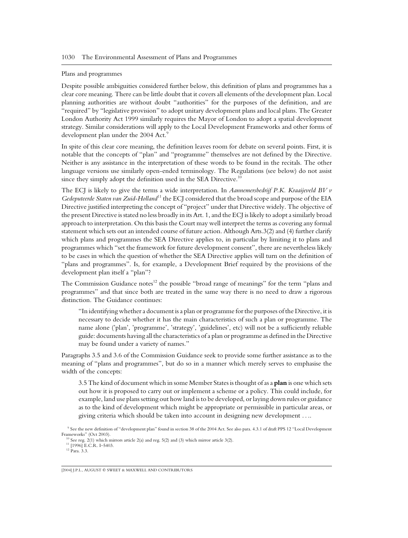#### Plans and programmes

Despite possible ambiguities considered further below, this definition of plans and programmes has a clear core meaning. There can be little doubt that it covers all elements of the development plan. Local planning authorities are without doubt "authorities" for the purposes of the definition, and are "required" by "legislative provision" to adopt unitary development plans and local plans. The Greater London Authority Act 1999 similarly requires the Mayor of London to adopt a spatial development strategy. Similar considerations will apply to the Local Development Frameworks and other forms of development plan under the 2004 Act.<sup>9</sup>

In spite of this clear core meaning, the definition leaves room for debate on several points. First, it is notable that the concepts of "plan" and "programme" themselves are not defined by the Directive. Neither is any assistance in the interpretation of these words to be found in the recitals. The other language versions use similarly open-ended terminology. The Regulations (see below) do not assist since they simply adopt the definition used in the SEA Directive.<sup>10</sup>

The ECJ is likely to give the terms a wide interpretation. In *Aannemersbedrijf P.K. Kraaijeveld BV v Gedeputeerde Staten van Zuid-Holland*<sup>11</sup> the ECJ considered that the broad scope and purpose of the EIA Directive justified interpreting the concept of "project" under that Directive widely. The objective of the present Directive is stated no less broadly in its Art. 1, and the ECJ is likely to adopt a similarly broad approach to interpretation. On this basis the Court may well interpret the terms as covering any formal statement which sets out an intended course of future action. Although Arts.3(2) and (4) further clarify which plans and programmes the SEA Directive applies to, in particular by limiting it to plans and programmes which "set the framework for future development consent", there are nevertheless likely to be cases in which the question of whether the SEA Directive applies will turn on the definition of "plans and programmes". Is, for example, a Development Brief required by the provisions of the development plan itself a "plan"?

The Commission Guidance notes<sup>12</sup> the possible "broad range of meanings" for the term "plans and programmes" and that since both are treated in the same way there is no need to draw a rigorous distinction. The Guidance continues:

"In identifying whether a document is a plan or programme for the purposes of the Directive, it is necessary to decide whether it has the main characteristics of such a plan or programme. The name alone ('plan', 'programme', 'strategy', 'guidelines', etc) will not be a sufficiently reliable guide: documents having all the characteristics of a plan or programme as defined in the Directive may be found under a variety of names."

Paragraphs 3.5 and 3.6 of the Commission Guidance seek to provide some further assistance as to the meaning of "plans and programmes", but do so in a manner which merely serves to emphasise the width of the concepts:

3.5 The kind of document which in some Member States is thought of as a **plan** is one which sets out how it is proposed to carry out or implement a scheme or a policy. This could include, for example, land use plans setting out how land is to be developed, or laying down rules or guidance as to the kind of development which might be appropriate or permissible in particular areas, or giving criteria which should be taken into account in designing new development . . ..

 $9$  See the new definition of "development plan" found in section 38 of the 2004 Act. See also para. 4.3.1 of draft PPS 12 "Local Development Frameworks" (Oct 2003).

 $^{10}$  See reg. 2(1) which mirrors article 2(a) and reg. 5(2) and (3) which mirror article 3(2).  $^{11}$  [1996] E.C.R. I–5403. 12 Para. 3.3.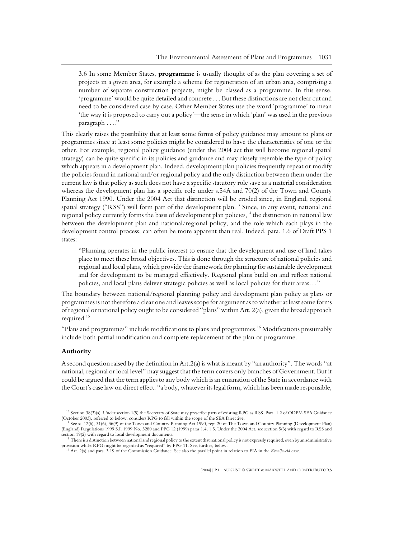3.6 In some Member States, **programme** is usually thought of as the plan covering a set of projects in a given area, for example a scheme for regeneration of an urban area, comprising a number of separate construction projects, might be classed as a programme. In this sense, 'programme' would be quite detailed and concrete . . . But these distinctions are not clear cut and need to be considered case by case. Other Member States use the word 'programme' to mean 'the way it is proposed to carry out a policy'—the sense in which 'plan' was used in the previous paragraph ....'

This clearly raises the possibility that at least some forms of policy guidance may amount to plans or programmes since at least some policies might be considered to have the characteristics of one or the other. For example, regional policy guidance (under the 2004 act this will become regional spatial strategy) can be quite specific in its policies and guidance and may closely resemble the type of policy which appears in a development plan. Indeed, development plan policies frequently repeat or modify the policies found in national and/or regional policy and the only distinction between them under the current law is that policy as such does not have a specific statutory role save as a material consideration whereas the development plan has a specific role under s.54A and 70(2) of the Town and County Planning Act 1990. Under the 2004 Act that distinction will be eroded since, in England, regional spatial strategy ("RSS") will form part of the development plan.<sup>13</sup> Since, in any event, national and regional policy currently forms the basis of development plan policies,<sup>14</sup> the distinction in national law between the development plan and national/regional policy, and the role which each plays in the development control process, can often be more apparent than real. Indeed, para. 1.6 of Draft PPS 1 states:

"Planning operates in the public interest to ensure that the development and use of land takes place to meet these broad objectives. This is done through the structure of national policies and regional and local plans, which provide the framework for planning for sustainable development and for development to be managed effectively. Regional plans build on and reflect national policies, and local plans deliver strategic policies as well as local policies for their areas. . ."

The boundary between national/regional planning policy and development plan policy as plans or programmes is not therefore a clear one and leaves scope for argument as to whether at least some forms of regional or national policy ought to be considered "plans" within Art. 2(a), given the broad approach required.<sup>15</sup>

"Plans and programmes" include modifications to plans and programmes.<sup>16</sup> Modifications presumably include both partial modification and complete replacement of the plan or programme.

#### **Authority**

A second question raised by the definition in Art.2(a) is what is meant by "an authority". The words "at national, regional or local level" may suggest that the term covers only branches of Government. But it could be argued that the term applies to any body which is an emanation of the State in accordance with the Court's case law on direct effect: "a body, whatever its legal form, which has been made responsible,

<sup>&</sup>lt;sup>13</sup> Section 38(3)(a). Under section 1(5) the Secretary of State may prescribe parts of existing RPG as RSS. Para. 1.2 of ODPM SEA Guidance (October 2003), referred to below, considers RPG to fall within the scope of the S

See ss. 12(6), 31(6), 36(9) of the Town and Country Planning Act 1990, reg. 20 of The Town and Country Planning (Development Plan) (England) Regulations 1999 S.I. 1999 No. 3280 and PPG 12 (1999) paras 1.4, 1.5. Under the 2004 Act, see section 5(3) with regard to RSS and

There is a distinction between national and regional policy to the extent that national policy is not expressly required, even by an administrative provision whilst RPG might be regarded as "required" by PPG 11. See, further, below. <sup>16</sup> Art. 2(a) and para. 3.19 of the Commission Guidance. See also the parallel point in relation to EIA in the *Kraaijeveld* case.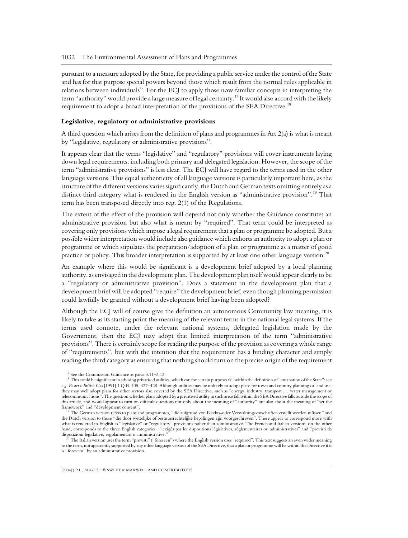pursuant to a measure adopted by the State, for providing a public service under the control of the State and has for that purpose special powers beyond those which result from the normal rules applicable in relations between individuals". For the ECJ to apply those now familiar concepts in interpreting the term "authority" would provide a large measure of legal certainty.<sup>17</sup> It would also accord with the likely requirement to adopt a broad interpretation of the provisions of the SEA Directive.<sup>18</sup>

#### **Legislative, regulatory or administrative provisions**

A third question which arises from the definition of plans and programmes in Art.2(a) is what is meant by "legislative, regulatory or administrative provisions".

It appears clear that the terms "legislative" and "regulatory" provisions will cover instruments laying down legal requirements, including both primary and delegated legislation. However, the scope of the term "administrative provisions" is less clear. The ECJ will have regard to the terms used in the other language versions. This equal authenticity of all language versions is particularly important here, as the structure of the different versions varies significantly, the Dutch and German texts omitting entirely as a distinct third category what is rendered in the English version as "administrative provision".<sup>19</sup> That term has been transposed directly into reg. 2(1) of the Regulations.

The extent of the effect of the provision will depend not only whether the Guidance constitutes an administrative provision but also what is meant by "required". That term could be interpreted as covering only provisions which impose a legal requirement that a plan or programme be adopted. But a possible wider interpretation would include also guidance which exhorts an authority to adopt a plan or programme or which stipulates the preparation/adoption of a plan or programme as a matter of good practice or policy. This broader interpretation is supported by at least one other language version.<sup>20</sup>

An example where this would be significant is a development brief adopted by a local planning authority, as envisaged in the development plan. The development plan itself would appear clearly to be a "regulatory or administrative provision". Does a statement in the development plan that a development brief will be adopted "require" the development brief, even though planning permission could lawfully be granted without a development brief having been adopted?

Although the ECJ will of course give the definition an autonomous Community law meaning, it is likely to take as its starting point the meaning of the relevant terms in the national legal systems. If the terms used connote, under the relevant national systems, delegated legislation made by the Government, then the ECJ may adopt that limited interpretation of the term "administrative provisions". There is certainly scope for reading the purpose of the provision as covering a whole range of "requirements", but with the intention that the requirement has a binding character and simply reading the third category as ensuring that nothing should turn on the precise origin of the requirement

<sup>&</sup>lt;sup>17</sup> See the Commission Guidance at paras 3.11–3.13. 18 This could be significant in advising privatised utilities, which can for certain purposes fall within the definition of "emanation of the State": see This could be *e.g. Foster v British Gas* [1991] 1 Q.B. 405, 427–428. Although utilities may be unlikely to adopt plans for town and country planning or land use, they may well adopt plans for other sectors also covered by the SEA Directive, such as "energy, industry, transport . . . water management or telecommunications". The question whether plans adopted by a privatised utility in such areas fall within the SEA Directive falls outside the scope of this article, and would appear to turn on difficult questions not only about the meaning of "authority" but also about the meaning of "set the

The German version refers to plans and programmes, "die aufgrund von Rechts-oder Verwaltungsvorschriften erstellt werden müssen" and the Dutch version to those "die door wettelijke of bestuursrechtelijke bepalingen zijn voorgeschreven". These appear to correspond more with what is rendered in English as "legislative" or "regulatory" provisions rather than administrative. The French and Italian versions, on the other hand, corresponds to the three English categories—"exigés par les dispositions législatives, réglementaires ou administratives" and "previsti da<br>dispositioni legislative, regolamentari o amministrative."

The Italian version uses the term "previsti" ("foreseen") where the English version uses "required". This text suggests an even wider meaning to the term, not apparently supported by any other language version of the SEA Directive, that a plan or programme will be within the Directive if it is "foreseen" by an administrative provision.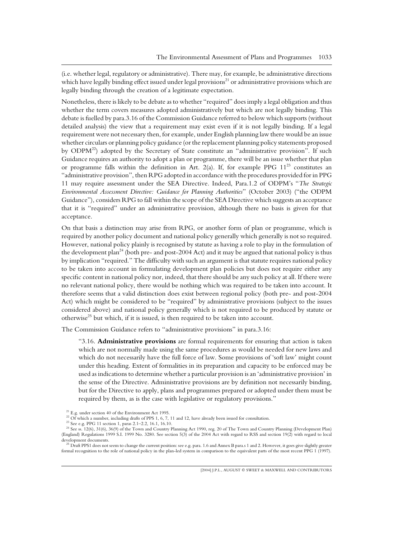(i.e. whether legal, regulatory or administrative). There may, for example, be administrative directions which have legally binding effect issued under legal provisions<sup>21</sup> or administrative provisions which are legally binding through the creation of a legitimate expectation.

Nonetheless, there is likely to be debate as to whether "required" does imply a legal obligation and thus whether the term covers measures adopted administratively but which are not legally binding. This debate is fuelled by para.3.16 of the Commission Guidance referred to below which supports (without detailed analysis) the view that a requirement may exist even if it is not legally binding. If a legal requirement were not necessary then, for example, under English planning law there would be an issue whether circulars or planning policy guidance (or the replacement planning policy statements proposed by ODPM<sup>22</sup>) adopted by the Secretary of State constitute an "administrative provision". If such Guidance requires an authority to adopt a plan or programme, there will be an issue whether that plan or programme falls within the definition in Art. 2(a). If, for example PPG  $11^{23}$  constitutes an "administrative provision", then RPG adopted in accordance with the procedures provided for in PPG 11 may require assessment under the SEA Directive. Indeed, Para.1.2 of ODPM's "*The Strategic Environmental Assessment Directive: Guidance for Planning Authorities*" (October 2003) ("the ODPM Guidance"), considers RPG to fall within the scope of the SEA Directive which suggests an acceptance that it is "required" under an administrative provision, although there no basis is given for that acceptance.

On that basis a distinction may arise from RPG, or another form of plan or programme, which is required by another policy document and national policy generally which generally is not so required. However, national policy plainly is recognised by statute as having a role to play in the formulation of the development plan<sup>24</sup> (both pre- and post-2004 Act) and it may be argued that national policy is thus by implication "required." The difficulty with such an argument is that statute requires national policy to be taken into account in formulating development plan policies but does not require either any specific content in national policy nor, indeed, that there should be any such policy at all. If there were no relevant national policy, there would be nothing which was required to be taken into account. It therefore seems that a valid distinction does exist between regional policy (both pre- and post-2004 Act) which might be considered to be "required" by administrative provisions (subject to the issues considered above) and national policy generally which is not required to be produced by statute or otherwise<sup>25</sup> but which, if it is issued, is then required to be taken into account.

The Commission Guidance refers to "administrative provisions" in para.3.16:

"3.16. **Administrative provisions** are formal requirements for ensuring that action is taken which are not normally made using the same procedures as would be needed for new laws and which do not necessarily have the full force of law. Some provisions of 'soft law' might count under this heading. Extent of formalities in its preparation and capacity to be enforced may be used as indications to determine whether a particular provision is an 'administrative provision' in the sense of the Directive. Administrative provisions are by definition not necessarily binding, but for the Directive to apply, plans and programmes prepared or adopted under them must be required by them, as is the case with legislative or regulatory provisions."

<sup>&</sup>lt;sup>21</sup> E.g. under section 40 of the Environment Act 1995.<br><sup>22</sup> Of which a number, including drafts of PPS 1, 6, 7, 11 and 12, have already been issued for consultation.<br><sup>23</sup> See e.g. PPG 11 section 1, paras 2.1–2.2, 16.1, 1 (England) Regulations 1999 S.I. 1999 No. 3280. See section 5(3) of the 2004 Act with regard to RSS and section 19(2) with regard to local

development documents.<br><sup>25</sup> Draft PPS1 does not seem to change the current position: see e.g. para. 1.6 and Annex B para.s 1 and 2. However, it goes give slightly greater formal recognition to the role of national policy in the plan-led system in comparison to the equivalent parts of the most recent PPG 1 (1997).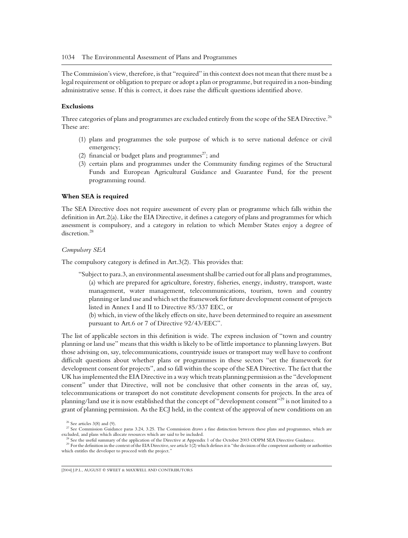The Commission's view, therefore, is that "required" in this context does not mean that there must be a legal requirement or obligation to prepare or adopt a plan or programme, but required in a non-binding administrative sense. If this is correct, it does raise the difficult questions identified above.

### **Exclusions**

Three categories of plans and programmes are excluded entirely from the scope of the SEA Directive.<sup>26</sup> These are:

- (1) plans and programmes the sole purpose of which is to serve national defence or civil emergency;
- (2) financial or budget plans and programmes<sup>27</sup>; and
- (3) certain plans and programmes under the Community funding regimes of the Structural Funds and European Agricultural Guidance and Guarantee Fund, for the present programming round.

#### **When SEA is required**

The SEA Directive does not require assessment of every plan or programme which falls within the definition in Art.2(a). Like the EIA Directive, it defines a category of plans and programmes for which assessment is compulsory, and a category in relation to which Member States enjoy a degree of discretion.<sup>28</sup>

#### *Compulsory SEA*

The compulsory category is defined in Art.3(2). This provides that:

"Subject to para.3, an environmental assessment shall be carried out for all plans and programmes, (a) which are prepared for agriculture, forestry, fisheries, energy, industry, transport, waste management, water management, telecommunications, tourism, town and country planning or land use and which set the framework for future development consent of projects listed in Annex I and II to Directive 85/337 EEC, or

(b) which, in view of the likely effects on site, have been determined to require an assessment pursuant to Art.6 or 7 of Directive 92/43/EEC".

The list of applicable sectors in this definition is wide. The express inclusion of "town and country planning or land use" means that this width is likely to be of little importance to planning lawyers. But those advising on, say, telecommunications, countryside issues or transport may well have to confront difficult questions about whether plans or programmes in these sectors "set the framework for development consent for projects", and so fall within the scope of the SEA Directive. The fact that the UK has implemented the EIA Directive in a way which treats planning permission as the "development consent" under that Directive, will not be conclusive that other consents in the areas of, say, telecommunications or transport do not constitute development consents for projects. In the area of planning/land use it is now established that the concept of "development consent"<sup>29</sup> is not limited to a grant of planning permission. As the ECJ held, in the context of the approval of new conditions on an

<sup>&</sup>lt;sup>26</sup> See articles 3(8) and (9). <sup>27</sup> See Commission Guidance paras 3.24, 3.25. The Commission draws a fine distinction between these plans and programmes, which are excluded, and plans which allocate resources which are s

<sup>&</sup>lt;sup>28</sup> See the useful summary of the application of the Directive at Appendix 1 of the October 2003 ODPM SEA Directive Guidance.<br><sup>29</sup> For the definition in the context of the EIA Directive, see article 1(2) which defines it which entitles the developer to proceed with the project.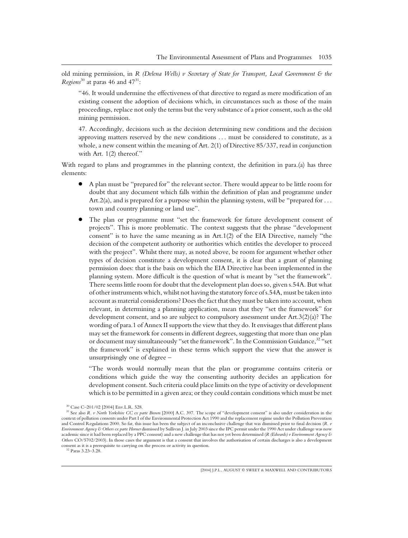old mining permission, in *R (Delena Wells) v Secretary of State for Transport, Local Government & the Regions*<sup>30</sup> at paras 46 and 47<sup>31</sup>:

"46. It would undermine the effectiveness of that directive to regard as mere modification of an existing consent the adoption of decisions which, in circumstances such as those of the main proceedings, replace not only the terms but the very substance of a prior consent, such as the old mining permission.

47. Accordingly, decisions such as the decision determining new conditions and the decision approving matters reserved by the new conditions . . . must be considered to constitute, as a whole, a new consent within the meaning of Art. 2(1) of Directive 85/337, read in conjunction with Art. 1(2) thereof."

With regard to plans and programmes in the planning context, the definition in para.(a) has three elements:

- A plan must be "prepared for" the relevant sector. There would appear to be little room for doubt that any document which falls within the definition of plan and programme under Art.  $2(a)$ , and is prepared for a purpose within the planning system, will be "prepared for ... town and country planning or land use".
- The plan or programme must "set the framework for future development consent of projects". This is more problematic. The context suggests that the phrase "development consent" is to have the same meaning as in  $Art.1(2)$  of the EIA Directive, namely "the decision of the competent authority or authorities which entitles the developer to proceed with the project". Whilst there may, as noted above, be room for argument whether other types of decision constitute a development consent, it is clear that a grant of planning permission does: that is the basis on which the EIA Directive has been implemented in the planning system. More difficult is the question of what is meant by "set the framework". There seems little room for doubt that the development plan does so, given s.54A. But what of other instruments which, whilst not having the statutory force of s.54A, must be taken into account as material considerations? Does the fact that they must be taken into account, when relevant, in determining a planning application, mean that they "set the framework" for development consent, and so are subject to compulsory assessment under Art.3(2)(a)? The wording of para.1 of Annex II supports the view that they do. It envisages that different plans may set the framework for consents in different degrees, suggesting that more than one plan or document may simultaneously "set the framework". In the Commission Guidance,<sup>32</sup> "set the framework" is explained in these terms which support the view that the answer is unsurprisingly one of degree –

"The words would normally mean that the plan or programme contains criteria or conditions which guide the way the consenting authority decides an application for development consent. Such criteria could place limits on the type of activity or development which is to be permitted in a given area; or they could contain conditions which must be met

<sup>&</sup>lt;sup>30</sup> Case C–201/02 [2004] Env.L.R. 528.<br><sup>31</sup> See also *R. v North Yorkshire CC ex parte Brown* [2000] A.C. 397. The scope of "development consent" is also under consideration in the context of pollution consents under Part I of the Environmental Protection Act 1990 and the replacement regime under the Pollution Prevention and Control Regulations 2000. So far, this issue has been the subject of an inconclusive challenge that was dismissed prior to final decision (*R. v Environment Agency & Others ex parte Horner* dismissed by Sullivan J. in July 2003 since the IPC permit under the 1990 Act under challenge was now academic since it had been replaced by a PPC consent) and a new challenge that has not yet been determined (*R (Edwards) v Environment Agency & Others* CO/5702/2003). In those cases the argument is that a consent that involves the authorisation of certain discharges is also a development consent as it is a prerequisite to carrying on the process or activity in question. <sup>32</sup> Paras 3.23–3.28.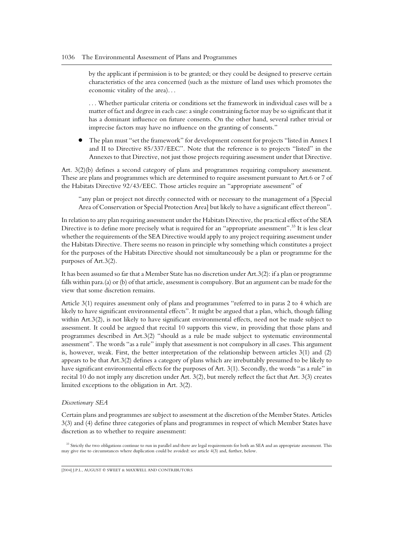by the applicant if permission is to be granted; or they could be designed to preserve certain characteristics of the area concerned (such as the mixture of land uses which promotes the economic vitality of the area). . .

. . . Whether particular criteria or conditions set the framework in individual cases will be a matter of fact and degree in each case: a single constraining factor may be so significant that it has a dominant influence on future consents. On the other hand, several rather trivial or imprecise factors may have no influence on the granting of consents."

● The plan must "set the framework" for development consent for projects "listed in Annex I and II to Directive 85/337/EEC". Note that the reference is to projects "listed" in the Annexes to that Directive, not just those projects requiring assessment under that Directive.

Art. 3(2)(b) defines a second category of plans and programmes requiring compulsory assessment. These are plans and programmes which are determined to require assessment pursuant to Art.6 or 7 of the Habitats Directive 92/43/EEC. Those articles require an "appropriate assessment" of

"any plan or project not directly connected with or necessary to the management of a [Special Area of Conservation or Special Protection Area] but likely to have a significant effect thereon".

In relation to any plan requiring assessment under the Habitats Directive, the practical effect of the SEA Directive is to define more precisely what is required for an "appropriate assessment".<sup>33</sup> It is less clear whether the requirements of the SEA Directive would apply to any project requiring assessment under the Habitats Directive. There seems no reason in principle why something which constitutes a project for the purposes of the Habitats Directive should not simultaneously be a plan or programme for the purposes of Art.3(2).

It has been assumed so far that a Member State has no discretion under Art.3(2): if a plan or programme falls within para.(a) or (b) of that article, assessment is compulsory. But an argument can be made for the view that some discretion remains.

Article 3(1) requires assessment only of plans and programmes "referred to in paras 2 to 4 which are likely to have significant environmental effects". It might be argued that a plan, which, though falling within Art.3(2), is not likely to have significant environmental effects, need not be made subject to assessment. It could be argued that recital 10 supports this view, in providing that those plans and programmes described in Art.3(2) "should as a rule be made subject to systematic environmental assessment". The words "as a rule" imply that assessment is not compulsory in all cases. This argument is, however, weak. First, the better interpretation of the relationship between articles 3(1) and (2) appears to be that Art.3(2) defines a category of plans which are irrebuttably presumed to be likely to have significant environmental effects for the purposes of Art. 3(1). Secondly, the words "as a rule" in recital 10 do not imply any discretion under Art. 3(2), but merely reflect the fact that Art. 3(3) creates limited exceptions to the obligation in Art. 3(2).

#### *Discretionary SEA*

Certain plans and programmes are subject to assessment at the discretion of the Member States. Articles 3(3) and (4) define three categories of plans and programmes in respect of which Member States have discretion as to whether to require assessment:

<sup>33</sup> Strictly the two obligations continue to run in parallel and there are legal requirements for both an SEA and an appropriate assessment. This may give rise to circumstances where duplication could be avoided: see article 4(3) and, further, below.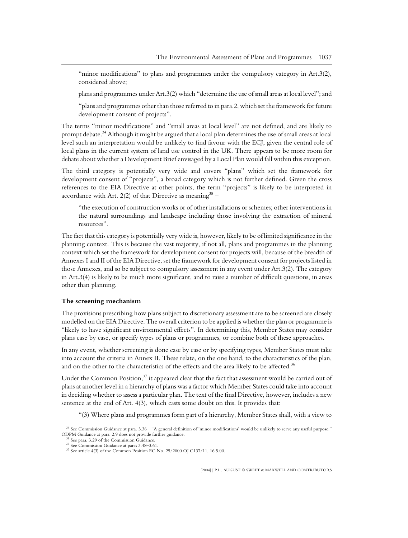"minor modifications" to plans and programmes under the compulsory category in Art.3(2), considered above;

plans and programmes under Art.3(2) which "determine the use of small areas at local level"; and

"plans and programmes other than those referred to in para.2, which set the framework for future development consent of projects".

The terms "minor modifications" and "small areas at local level" are not defined, and are likely to prompt debate.<sup>34</sup> Although it might be argued that a local plan determines the use of small areas at local level such an interpretation would be unlikely to find favour with the ECJ, given the central role of local plans in the current system of land use control in the UK. There appears to be more room for debate about whether a Development Brief envisaged by a Local Plan would fall within this exception.

The third category is potentially very wide and covers "plans" which set the framework for development consent of "projects", a broad category which is not further defined. Given the cross references to the EIA Directive at other points, the term "projects" is likely to be interpreted in accordance with Art. 2(2) of that Directive as meaning  $35 -$ 

"the execution of construction works or of other installations or schemes; other interventions in the natural surroundings and landscape including those involving the extraction of mineral resources".

The fact that this category is potentially very wide is, however, likely to be of limited significance in the planning context. This is because the vast majority, if not all, plans and programmes in the planning context which set the framework for development consent for projects will, because of the breadth of Annexes I and II of the EIA Directive, set the framework for development consent for projects listed in those Annexes, and so be subject to compulsory assessment in any event under Art.3(2). The category in Art.3(4) is likely to be much more significant, and to raise a number of difficult questions, in areas other than planning.

#### **The screening mechanism**

The provisions prescribing how plans subject to discretionary assessment are to be screened are closely modelled on the EIA Directive. The overall criterion to be applied is whether the plan or programme is "likely to have significant environmental effects". In determining this, Member States may consider plans case by case, or specify types of plans or programmes, or combine both of these approaches.

In any event, whether screening is done case by case or by specifying types, Member States must take into account the criteria in Annex II. These relate, on the one hand, to the characteristics of the plan, and on the other to the characteristics of the effects and the area likely to be affected.<sup>36</sup>

Under the Common Position, $37$  it appeared clear that the fact that assessment would be carried out of plans at another level in a hierarchy of plans was a factor which Member States could take into account in deciding whether to assess a particular plan. The text of the final Directive, however, includes a new sentence at the end of Art. 4(3), which casts some doubt on this. It provides that:

"(3) Where plans and programmes form part of a hierarchy, Member States shall, with a view to

<sup>&</sup>lt;sup>34</sup> See Commission Guidance at para. 3.36—"A general definition of 'minor modifications' would be unlikely to serve any useful purpose."<br>ODPM Guidance at para. 2.9 does not provide further guidance.

<sup>&</sup>lt;sup>35</sup> See para. 3.29 of the Commission Guidance.<br><sup>36</sup> See Commission Guidance at paras 3.48–3.61.<br><sup>37</sup> See article 4(3) of the Common Position EC No. 25/2000 OJ C137/11, 16.5.00.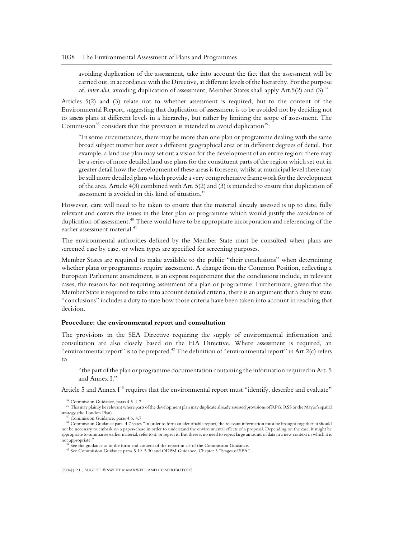avoiding duplication of the assessment, take into account the fact that the assessment will be carried out, in accordance with the Directive, at different levels of the hierarchy. For the purpose of, *inter alia*, avoiding duplication of assessment, Member States shall apply Art.5(2) and (3)."

Articles 5(2) and (3) relate not to whether assessment is required, but to the content of the Environmental Report, suggesting that duplication of assessment is to be avoided not by deciding not to assess plans at different levels in a hierarchy, but rather by limiting the scope of assessment. The Commission<sup>38</sup> considers that this provision is intended to avoid duplication<sup>39</sup>:

"In some circumstances, there may be more than one plan or programme dealing with the same broad subject matter but over a different geographical area or in different degrees of detail. For example, a land use plan may set out a vision for the development of an entire region; there may be a series of more detailed land use plans for the constituent parts of the region which set out in greater detail how the development of these areas is foreseen; whilst at municipal level there may be still more detailed plans which provide a very comprehensive framework for the development of the area. Article 4(3) combined with Art. 5(2) and (3) is intended to ensure that duplication of assessment is avoided in this kind of situation."

However, care will need to be taken to ensure that the material already assessed is up to date, fully relevant and covers the issues in the later plan or programme which would justify the avoidance of duplication of assessment.<sup>40</sup> There would have to be appropriate incorporation and referencing of the earlier assessment material.<sup>41</sup>

The environmental authorities defined by the Member State must be consulted when plans are screened case by case, or when types are specified for screening purposes.

Member States are required to make available to the public "their conclusions" when determining whether plans or programmes require assessment. A change from the Common Position, reflecting a European Parliament amendment, is an express requirement that the conclusions include, in relevant cases, the reasons for not requiring assessment of a plan or programme. Furthermore, given that the Member State is required to take into account detailed criteria, there is an argument that a duty to state "conclusions" includes a duty to state how those criteria have been taken into account in reaching that decision.

#### **Procedure: the environmental report and consultation**

The provisions in the SEA Directive requiring the supply of environmental information and consultation are also closely based on the EIA Directive. Where assessment is required, an "environmental report" is to be prepared.<sup>42</sup> The definition of "environmental report" in Art.  $2(c)$  refers to

"the part of the plan or programme documentation containing the information required in Art. 5 and Annex I."

Article 5 and Annex  $I^{43}$  requires that the environmental report must "identify, describe and evaluate"

<sup>&</sup>lt;sup>38</sup> Commission Guidance, paras 4.5–4.7.<br><sup>39</sup> This may plainly be relevant where parts of the development plan may duplicate already assessed provisions of RPG, RSS or the Mayor's spatial strategy (the London Plan).

 $\begin{array}{l} \text{40} \end{array}$  Commission Guidance, paras 4.6, 4.7.  $\text{41} \end{array}$  Commission Guidance para. 4.7 states "In order to form an identifiable report, the relevant information must be brought together: it should not be necessary to embark on a paper-chase in order to understand the environmental effects of a proposal. Depending on the case, it might be appropriate to summarise earlier material, refer to it, or repeat it. But there is no need to repeat large amounts of data in a new context in which it is

<sup>&</sup>lt;sup>42</sup> See the guidance as to the form and content of the report in s.5 of the Commission Guidance. <sup>43</sup> See Commission Guidance paras 5.19–5.30 and ODPM Guidance, Chapter 3 "Stages of SEA".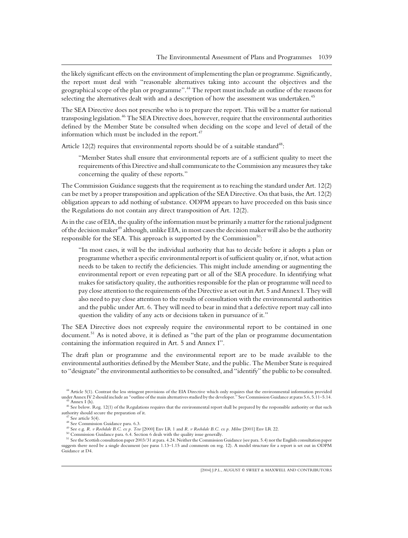the likely significant effects on the environment of implementing the plan or programme. Significantly, the report must deal with "reasonable alternatives taking into account the objectives and the geographical scope of the plan or programme".<sup>44</sup> The report must include an outline of the reasons for selecting the alternatives dealt with and a description of how the assessment was undertaken.<sup>45</sup>

The SEA Directive does not prescribe who is to prepare the report. This will be a matter for national transposing legislation.<sup>46</sup> The SEA Directive does, however, require that the environmental authorities defined by the Member State be consulted when deciding on the scope and level of detail of the information which must be included in the report. $47$ 

Article 12(2) requires that environmental reports should be of a suitable standard<sup>48</sup>:

"Member States shall ensure that environmental reports are of a sufficient quality to meet the requirements of this Directive and shall communicate to the Commission any measures they take concerning the quality of these reports."

The Commission Guidance suggests that the requirement as to reaching the standard under Art. 12(2) can be met by a proper transposition and application of the SEA Directive. On that basis, the Art. 12(2) obligation appears to add nothing of substance. ODPM appears to have proceeded on this basis since the Regulations do not contain any direct transposition of Art. 12(2).

As in the case of EIA, the quality of the information must be primarily a matter for the rational judgment of the decision maker<sup>49</sup> although, unlike EIA, in most cases the decision maker will also be the authority responsible for the SEA. This approach is supported by the Commission<sup>50</sup>:

"In most cases, it will be the individual authority that has to decide before it adopts a plan or programme whether a specific environmental report is of sufficient quality or, if not, what action needs to be taken to rectify the deficiencies. This might include amending or augmenting the environmental report or even repeating part or all of the SEA procedure. In identifying what makes for satisfactory quality, the authorities responsible for the plan or programme will need to pay close attention to the requirements of the Directive as set out in Art. 5 and Annex I. They will also need to pay close attention to the results of consultation with the environmental authorities and the public under Art. 6. They will need to bear in mind that a defective report may call into question the validity of any acts or decisions taken in pursuance of it."

The SEA Directive does not expressly require the environmental report to be contained in one document.<sup>51</sup> As is noted above, it is defined as "the part of the plan or programme documentation containing the information required in Art. 5 and Annex I".

The draft plan or programme and the environmental report are to be made available to the environmental authorities defined by the Member State, and the public. The Member State is required to "designate" the environmental authorities to be consulted, and "identify" the public to be consulted.

<sup>&</sup>lt;sup>44</sup> Article 5(1). Contrast the less stringent provisions of the EIA Directive which only requires that the environmental information provided under Annex IV 2 should include an "outline of the main alternatives studied by

<sup>&</sup>lt;sup>45</sup> Annex I (h).<br><sup>46</sup> See below. Reg. 12(1) of the Regulations requires that the environmental report shall be prepared by the responsible authority or that such authority should secure the preparation of it.

<sup>&</sup>lt;sup>47</sup> See article 5(4).<br><sup>48</sup> See Commission Guidance para. 6.3.<br><sup>49</sup> See C., *R. v. Rochdale B.C. ex p. Tew* [2000] Env LR 1 and *R. v Rochdale B.C. ex p. Milne* [2001] Env LR 22.<br><sup>50</sup> Commission Guidance para. 6.4. Sectio suggests there need be a single document (see paras 1.13–1.15 and comments on reg. 12). A model structure for a report is set out in ODPM Guidance at D4.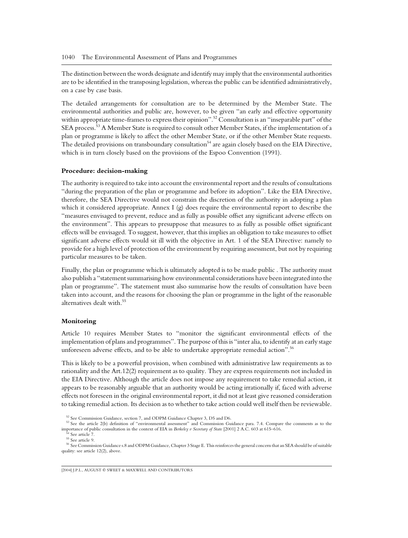The distinction between the words designate and identify may imply that the environmental authorities are to be identified in the transposing legislation, whereas the public can be identified administratively, on a case by case basis.

The detailed arrangements for consultation are to be determined by the Member State. The environmental authorities and public are, however, to be given "an early and effective opportunity within appropriate time-frames to express their opinion".<sup>52</sup> Consultation is an "inseparable part" of the SEA process.<sup>53</sup> A Member State is required to consult other Member States, if the implementation of a plan or programme is likely to affect the other Member State, or if the other Member State requests. The detailed provisions on transboundary consultation<sup>54</sup> are again closely based on the EIA Directive, which is in turn closely based on the provisions of the Espoo Convention (1991).

## **Procedure: decision-making**

The authority is required to take into account the environmental report and the results of consultations "during the preparation of the plan or programme and before its adoption". Like the EIA Directive, therefore, the SEA Directive would not constrain the discretion of the authority in adopting a plan which it considered appropriate. Annex I  $(g)$  does require the environmental report to describe the "measures envisaged to prevent, reduce and as fully as possible offset any significant adverse effects on the environment". This appears to presuppose that measures to as fully as possible offset significant effects will be envisaged. To suggest, however, that this implies an obligation to take measures to offset significant adverse effects would sit ill with the objective in Art. 1 of the SEA Directive: namely to provide for a high level of protection of the environment by requiring assessment, but not by requiring particular measures to be taken.

Finally, the plan or programme which is ultimately adopted is to be made public . The authority must also publish a "statement summarising how environmental considerations have been integrated into the plan or programme". The statement must also summarise how the results of consultation have been taken into account, and the reasons for choosing the plan or programme in the light of the reasonable alternatives dealt with.<sup>55</sup>

### **Monitoring**

Article 10 requires Member States to "monitor the significant environmental effects of the implementation of plans and programmes". The purpose of this is "inter alia, to identify at an early stage unforeseen adverse effects, and to be able to undertake appropriate remedial action".<sup>56</sup>

This is likely to be a powerful provision, when combined with administrative law requirements as to rationality and the Art.12(2) requirement as to quality. They are express requirements not included in the EIA Directive. Although the article does not impose any requirement to take remedial action, it appears to be reasonably arguable that an authority would be acting irrationally if, faced with adverse effects not foreseen in the original environmental report, it did not at least give reasoned consideration to taking remedial action. Its decision as to whether to take action could well itself then be reviewable.

<sup>&</sup>lt;sup>52</sup> See Commission Guidance, section 7, and ODPM Guidance Chapter 3, D5 and D6.<br><sup>53</sup> See the article 2(b) definition of "environmental assessment" and Commission Guidance para. 7.4. Compare the comments as to the importa

 $^{54}$  See article 7.<br> $^{55}$  See article 9. <br> $^{56}$  See Commission Guidance s.8 and ODPM Guidance, Chapter 3 Stage E. This reinforces the general concern that an SEA should be of suitable quality: see article 12(2), above.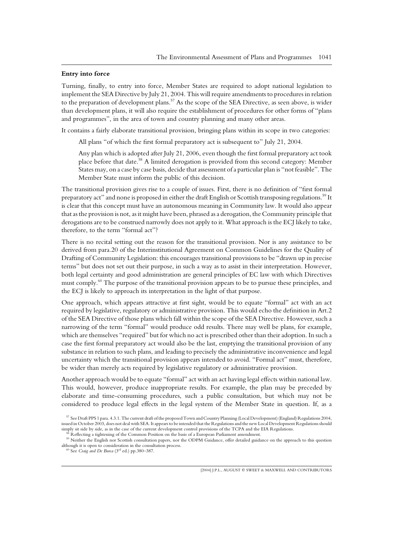# **Entry into force**

Turning, finally, to entry into force, Member States are required to adopt national legislation to implement the SEA Directive by July 21, 2004. This will require amendments to procedures in relation to the preparation of development plans.<sup>57</sup> As the scope of the SEA Directive, as seen above, is wider than development plans, it will also require the establishment of procedures for other forms of "plans and programmes", in the area of town and country planning and many other areas.

It contains a fairly elaborate transitional provision, bringing plans within its scope in two categories:

All plans "of which the first formal preparatory act is subsequent to" July 21, 2004.

Any plan which is adopted after July 21, 2006, even though the first formal preparatory act took place before that date.<sup>58</sup> A limited derogation is provided from this second category: Member States may, on a case by case basis, decide that assessment of a particular plan is "not feasible". The Member State must inform the public of this decision.

The transitional provision gives rise to a couple of issues. First, there is no definition of "first formal preparatory act" and none is proposed in either the draft English or Scottish transposing regulations.<sup>59</sup> It is clear that this concept must have an autonomous meaning in Community law. It would also appear that as the provision is not, as it might have been, phrased as a derogation, the Community principle that derogations are to be construed narrowly does not apply to it. What approach is the ECJ likely to take, therefore, to the term "formal act"?

There is no recital setting out the reason for the transitional provision. Nor is any assistance to be derived from para.20 of the Interinstitutional Agreement on Common Guidelines for the Quality of Drafting of Community Legislation: this encourages transitional provisions to be "drawn up in precise terms" but does not set out their purpose, in such a way as to assist in their interpretation. However, both legal certainty and good administration are general principles of EC law with which Directives must comply.<sup>60</sup> The purpose of the transitional provision appears to be to pursue these principles, and the ECJ is likely to approach its interpretation in the light of that purpose.

One approach, which appears attractive at first sight, would be to equate "formal" act with an act required by legislative, regulatory or administrative provision. This would echo the definition in Art.2 of the SEA Directive of those plans which fall within the scope of the SEA Directive. However, such a narrowing of the term "formal" would produce odd results. There may well be plans, for example, which are themselves "required" but for which no act is prescribed other than their adoption. In such a case the first formal preparatory act would also be the last, emptying the transitional provision of any substance in relation to such plans, and leading to precisely the administrative inconvenience and legal uncertainty which the transitional provision appears intended to avoid. "Formal act" must, therefore, be wider than merely acts required by legislative regulatory or administrative provision.

Another approach would be to equate "formal" act with an act having legal effects within national law. This would, however, produce inappropriate results. For example, the plan may be preceded by elaborate and time-consuming procedures, such a public consultation, but which may not be considered to produce legal effects in the legal system of the Member State in question. If, as a

<sup>57</sup> See Draft PPS 1 para. 4.3.1. The current draft of the proposed Town and Country Planning (Local Development) (England) Regulations 2004, issued in October 2003, does not deal with SEA. It appears to be intended that the Regulations and the new Local Development Regulations should simply sit side by side, as in the case of the current development control pro

 $^{58}$  Reflecting a tightening of the Common Position on the basis of a European Parliament amendment.<br><sup>59</sup> Neither the English nor Scottish consultation papers, nor the ODPM Guidance, offer detailed guidance on the appro although it is open to consideration in the consultation process. <sup>60</sup> See *Craig and De Burca* (3rd ed.) pp.380–387.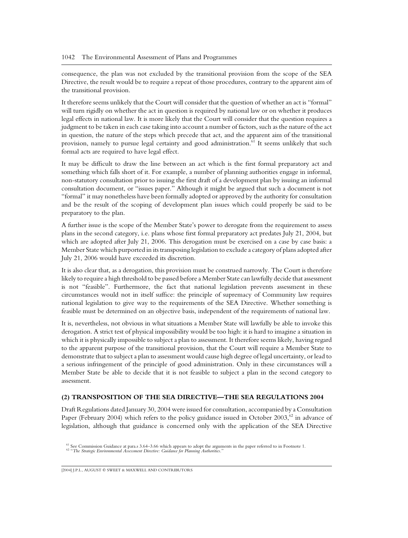consequence, the plan was not excluded by the transitional provision from the scope of the SEA Directive, the result would be to require a repeat of those procedures, contrary to the apparent aim of the transitional provision.

It therefore seems unlikely that the Court will consider that the question of whether an act is "formal" will turn rigidly on whether the act in question is required by national law or on whether it produces legal effects in national law. It is more likely that the Court will consider that the question requires a judgment to be taken in each case taking into account a number of factors, such as the nature of the act in question, the nature of the steps which precede that act, and the apparent aim of the transitional provision, namely to pursue legal certainty and good administration.<sup>61</sup> It seems unlikely that such formal acts are required to have legal effect.

It may be difficult to draw the line between an act which is the first formal preparatory act and something which falls short of it. For example, a number of planning authorities engage in informal, non-statutory consultation prior to issuing the first draft of a development plan by issuing an informal consultation document, or "issues paper." Although it might be argued that such a document is not "formal" it may nonetheless have been formally adopted or approved by the authority for consultation and be the result of the scoping of development plan issues which could properly be said to be preparatory to the plan.

A further issue is the scope of the Member State's power to derogate from the requirement to assess plans in the second category, i.e. plans whose first formal preparatory act predates July 21, 2004, but which are adopted after July 21, 2006. This derogation must be exercised on a case by case basis: a Member State which purported in its transposing legislation to exclude a category of plans adopted after July 21, 2006 would have exceeded its discretion.

It is also clear that, as a derogation, this provision must be construed narrowly. The Court is therefore likely to require a high threshold to be passed before a Member State can lawfully decide that assessment is not "feasible". Furthermore, the fact that national legislation prevents assessment in these circumstances would not in itself suffice: the principle of supremacy of Community law requires national legislation to give way to the requirements of the SEA Directive. Whether something is feasible must be determined on an objective basis, independent of the requirements of national law.

It is, nevertheless, not obvious in what situations a Member State will lawfully be able to invoke this derogation. A strict test of physical impossibility would be too high: it is hard to imagine a situation in which it is physically impossible to subject a plan to assessment. It therefore seems likely, having regard to the apparent purpose of the transitional provision, that the Court will require a Member State to demonstrate that to subject a plan to assessment would cause high degree of legal uncertainty, or lead to a serious infringement of the principle of good administration. Only in these circumstances will a Member State be able to decide that it is not feasible to subject a plan in the second category to assessment.

# **(2) TRANSPOSITION OF THE SEA DIRECTIVE—THE SEA REGULATIONS 2004**

Draft Regulations dated January 30, 2004 were issued for consultation, accompanied by a Consultation Paper (February 2004) which refers to the policy guidance issued in October 2003,<sup>62</sup> in advance of legislation, although that guidance is concerned only with the application of the SEA Directive

<sup>&</sup>lt;sup>61</sup> See Commission Guidance at para.s 3.64–3.66 which appears to adopt the arguments in the paper referred to in Footnote 1.<br><sup>62</sup> "*The Strategic Environmental Assessment Directive: Guidance for Planning Authorities."*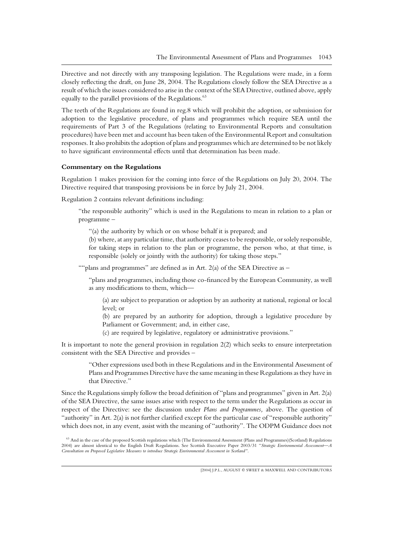Directive and not directly with any transposing legislation. The Regulations were made, in a form closely reflecting the draft, on June 28, 2004. The Regulations closely follow the SEA Directive as a result of which the issues considered to arise in the context of the SEA Directive, outlined above, apply equally to the parallel provisions of the Regulations.<sup>63</sup>

The teeth of the Regulations are found in reg.8 which will prohibit the adoption, or submission for adoption to the legislative procedure, of plans and programmes which require SEA until the requirements of Part 3 of the Regulations (relating to Environmental Reports and consultation procedures) have been met and account has been taken of the Environmental Report and consultation responses. It also prohibits the adoption of plans and programmes which are determined to be not likely to have significant environmental effects until that determination has been made.

#### **Commentary on the Regulations**

Regulation 1 makes provision for the coming into force of the Regulations on July 20, 2004. The Directive required that transposing provisions be in force by July 21, 2004.

Regulation 2 contains relevant definitions including:

"the responsible authority" which is used in the Regulations to mean in relation to a plan or programme –

"(a) the authority by which or on whose behalf it is prepared; and

(b) where, at any particular time, that authority ceases to be responsible, or solely responsible, for taking steps in relation to the plan or programme, the person who, at that time, is responsible (solely or jointly with the authority) for taking those steps."

""plans and programmes" are defined as in Art. 2(a) of the SEA Directive as  $-$ 

"plans and programmes, including those co-financed by the European Community, as well as any modifications to them, which—

(a) are subject to preparation or adoption by an authority at national, regional or local level; or

(b) are prepared by an authority for adoption, through a legislative procedure by Parliament or Government; and, in either case,

(c) are required by legislative, regulatory or administrative provisions."

It is important to note the general provision in regulation 2(2) which seeks to ensure interpretation consistent with the SEA Directive and provides –

"Other expressions used both in these Regulations and in the Environmental Assessment of Plans and Programmes Directive have the same meaning in these Regulations as they have in that Directive."

Since the Regulations simply follow the broad definition of "plans and programmes" given in Art. 2(a) of the SEA Directive, the same issues arise with respect to the term under the Regulations as occur in respect of the Directive: see the discussion under *Plans and Programmes,* above. The question of "authority" in Art. 2(a) is not further clarified except for the particular case of "responsible authority" which does not, in any event, assist with the meaning of "authority". The ODPM Guidance does not

<sup>&</sup>lt;sup>63</sup> And in the case of the proposed Scottish regulations which (The Environmental Assessment (Plans and Programmes)(Scotland) Regulations 2004) are almost identical to the English Draft Regulations. See Scottish Executive Paper 2003/31 "*Strategic Environmental Assessment—A Consultation on Proposed Legislative Measures to introduce Strategic Environmental Assessment in Scotland"*.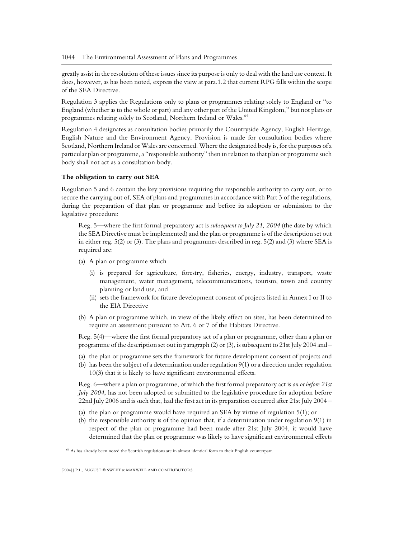greatly assist in the resolution of these issues since its purpose is only to deal with the land use context. It does, however, as has been noted, express the view at para.1.2 that current RPG falls within the scope of the SEA Directive.

Regulation 3 applies the Regulations only to plans or programmes relating solely to England or "to England (whether as to the whole or part) and any other part of the United Kingdom," but not plans or programmes relating solely to Scotland, Northern Ireland or Wales.<sup>64</sup>

Regulation 4 designates as consultation bodies primarily the Countryside Agency, English Heritage, English Nature and the Environment Agency. Provision is made for consultation bodies where Scotland, Northern Ireland or Wales are concerned. Where the designated body is, for the purposes of a particular plan or programme, a "responsible authority" then in relation to that plan or programme such body shall not act as a consultation body.

## **The obligation to carry out SEA**

Regulation 5 and 6 contain the key provisions requiring the responsible authority to carry out, or to secure the carrying out of, SEA of plans and programmes in accordance with Part 3 of the regulations, during the preparation of that plan or programme and before its adoption or submission to the legislative procedure:

Reg. 5—where the first formal preparatory act is *subsequent to July 21, 2004* (the date by which the SEA Directive must be implemented) and the plan or programme is of the description set out in either reg. 5(2) or (3). The plans and programmes described in reg. 5(2) and (3) where SEA is required are:

- (a) A plan or programme which
	- (i) is prepared for agriculture, forestry, fisheries, energy, industry, transport, waste management, water management, telecommunications, tourism, town and country planning or land use, and
	- (ii) sets the framework for future development consent of projects listed in Annex I or II to the EIA Directive
- (b) A plan or programme which, in view of the likely effect on sites, has been determined to require an assessment pursuant to Art. 6 or 7 of the Habitats Directive.

Reg. 5(4)—where the first formal preparatory act of a plan or programme, other than a plan or programme of the description set out in paragraph (2) or (3), is subsequent to 21st July 2004 and –

- (a) the plan or programme sets the framework for future development consent of projects and
- (b) has been the subject of a determination under regulation 9(1) or a direction under regulation 10(3) that it is likely to have significant environmental effects.

Reg. 6—where a plan or programme, of which the first formal preparatory act is *on or before 21st July 2004*, has not been adopted or submitted to the legislative procedure for adoption before 22nd July 2006 and is such that, had the first act in its preparation occurred after 21st July 2004 –

- (a) the plan or programme would have required an SEA by virtue of regulation 5(1); or
- (b) the responsible authority is of the opinion that, if a determination under regulation 9(1) in respect of the plan or programme had been made after 21st July 2004, it would have determined that the plan or programme was likely to have significant environmental effects

<sup>64</sup> As has already been noted the Scottish regulations are in almost identical form to their English counterpart.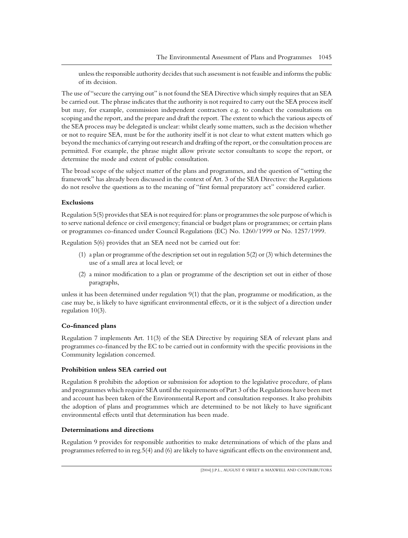unless the responsible authority decides that such assessment is not feasible and informs the public of its decision.

The use of "secure the carrying out" is not found the SEA Directive which simply requires that an SEA be carried out. The phrase indicates that the authority is not required to carry out the SEA process itself but may, for example, commission independent contractors e.g. to conduct the consultations on scoping and the report, and the prepare and draft the report. The extent to which the various aspects of the SEA process may be delegated is unclear: whilst clearly some matters, such as the decision whether or not to require SEA, must be for the authority itself it is not clear to what extent matters which go beyond the mechanics of carrying out research and drafting of the report, or the consultation process are permitted. For example, the phrase might allow private sector consultants to scope the report, or determine the mode and extent of public consultation.

The broad scope of the subject matter of the plans and programmes, and the question of "setting the framework" has already been discussed in the context of Art. 3 of the SEA Directive: the Regulations do not resolve the questions as to the meaning of "first formal preparatory act" considered earlier.

#### **Exclusions**

Regulation 5(5) provides that SEA is not required for: plans or programmes the sole purpose of which is to serve national defence or civil emergency; financial or budget plans or programmes; or certain plans or programmes co-financed under Council Regulations (EC) No. 1260/1999 or No. 1257/1999.

Regulation 5(6) provides that an SEA need not be carried out for:

- (1) a plan or programme of the description set out in regulation 5(2) or (3) which determines the use of a small area at local level; or
- (2) a minor modification to a plan or programme of the description set out in either of those paragraphs,

unless it has been determined under regulation 9(1) that the plan, programme or modification, as the case may be, is likely to have significant environmental effects, or it is the subject of a direction under regulation 10(3).

## **Co-financed plans**

Regulation 7 implements Art. 11(3) of the SEA Directive by requiring SEA of relevant plans and programmes co-financed by the EC to be carried out in conformity with the specific provisions in the Community legislation concerned.

# **Prohibition unless SEA carried out**

Regulation 8 prohibits the adoption or submission for adoption to the legislative procedure, of plans and programmes which require SEA until the requirements of Part 3 of the Regulations have been met and account has been taken of the Environmental Report and consultation responses. It also prohibits the adoption of plans and programmes which are determined to be not likely to have significant environmental effects until that determination has been made.

#### **Determinations and directions**

Regulation 9 provides for responsible authorities to make determinations of which of the plans and programmes referred to in reg.5(4) and (6) are likely to have significant effects on the environment and,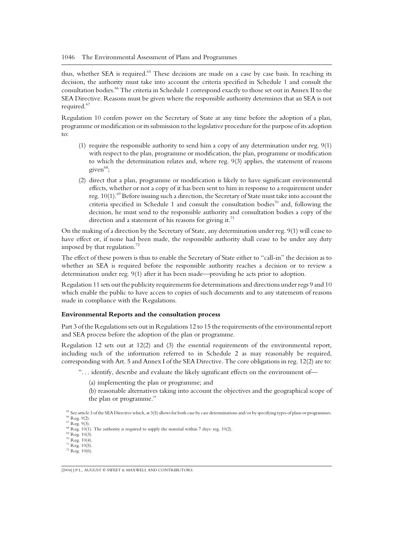thus, whether SEA is required.<sup>65</sup> These decisions are made on a case by case basis. In reaching its decision, the authority must take into account the criteria specified in Schedule 1 and consult the consultation bodies.<sup>66</sup> The criteria in Schedule 1 correspond exactly to those set out in Annex II to the SEA Directive. Reasons must be given where the responsible authority determines that an SEA is not required.<sup>67</sup>

Regulation 10 confers power on the Secretary of State at any time before the adoption of a plan, programme or modification or its submission to the legislative procedure for the purpose of its adoption  $t^{\alpha}$ 

- (1) require the responsible authority to send him a copy of any determination under reg. 9(1) with respect to the plan, programme or modification, the plan, programme or modification to which the determination relates and, where reg. 9(3) applies, the statement of reasons given $^{68}$ ;
- (2) direct that a plan, programme or modification is likely to have significant environmental effects, whether or not a copy of it has been sent to him in response to a requirement under reg. 10(1).<sup>69</sup> Before issuing such a direction, the Secretary of State must take into account the criteria specified in Schedule 1 and consult the consultation bodies<sup>70</sup> and, following the decision, he must send to the responsible authority and consultation bodies a copy of the direction and a statement of his reasons for giving it.<sup>71</sup>

On the making of a direction by the Secretary of State, any determination under reg. 9(1) will cease to have effect or, if none had been made, the responsible authority shall cease to be under any duty imposed by that regulation.<sup>72</sup>

The effect of these powers is thus to enable the Secretary of State either to "call-in" the decision as to whether an SEA is required before the responsible authority reaches a decision or to review a determination under reg. 9(1) after it has been made—providing he acts prior to adoption.

Regulation 11 sets out the publicity requirements for determinations and directions under regs 9 and 10 which enable the public to have access to copies of such documents and to any statements of reasons made in compliance with the Regulations.

## **Environmental Reports and the consultation process**

Part 3 of the Regulations sets out in Regulations 12 to 15 the requirements of the environmental report and SEA process before the adoption of the plan or programme.

Regulation 12 sets out at 12(2) and (3) the essential requirements of the environmental report, including such of the information referred to in Schedule 2 as may reasonably be required, corresponding with Art. 5 and Annex I of the SEA Directive. The core obligations in reg. 12(2) are to:

". . . identify, describe and evaluate the likely significant effects on the environment of—

- (a) implementing the plan or programme; and
- (b) reasonable alternatives taking into account the objectives and the geographical scope of the plan or programme."

<sup>&</sup>lt;sup>65</sup> See article 3 of the SEA Directive which, at 3(5) allows for both case by case determinations and/or by specifying types of plans or programmes.<br><sup>66</sup> Reg. 9(2).<br><sup>67</sup> Reg. 9(3).<br><sup>68</sup> Reg. 10(1). The authority is requi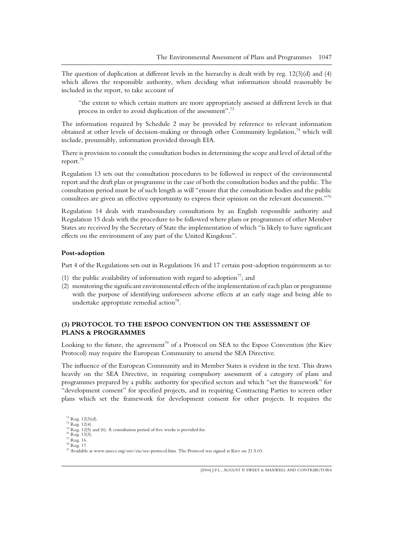The question of duplication at different levels in the hierarchy is dealt with by reg. 12(3)(d) and (4) which allows the responsible authority, when deciding what information should reasonably be included in the report, to take account of

"the extent to which certain matters are more appropriately assessed at different levels in that process in order to avoid duplication of the assessment".<sup>73</sup>

The information required by Schedule 2 may be provided by reference to relevant information obtained at other levels of decision-making or through other Community legislation,<sup>74</sup> which will include, presumably, information provided through EIA.

There is provision to consult the consultation bodies in determining the scope and level of detail of the report.<sup>75</sup>

Regulation 13 sets out the consultation procedures to be followed in respect of the environmental report and the draft plan or programme in the case of both the consultation bodies and the public. The consultation period must be of such length as will "ensure that the consultation bodies and the public consultees are given an effective opportunity to express their opinion on the relevant documents."<sup>76</sup>

Regulation 14 deals with transboundary consultations by an English responsible authority and Regulation 15 deals with the procedure to be followed where plans or programmes of other Member States are received by the Secretary of State the implementation of which "is likely to have significant effects on the environment of any part of the United Kingdom".

## **Post-adoption**

Part 4 of the Regulations sets out in Regulations 16 and 17 certain post-adoption requirements as to:

- (1) the public availability of information with regard to adoption<sup>77</sup>; and
- (2) monitoring the significant environmental effects of the implementation of each plan or programme with the purpose of identifying unforeseen adverse effects at an early stage and being able to undertake appropriate remedial action<sup>78</sup>.

# **(3) PROTOCOL TO THE ESPOO CONVENTION ON THE ASSESSMENT OF PLANS & PROGRAMMES**

Looking to the future, the agreement<sup>79</sup> of a Protocol on SEA to the Espoo Convention (the Kiev Protocol) may require the European Community to amend the SEA Directive.

The influence of the European Community and its Member States is evident in the text. This draws heavily on the SEA Directive, in requiring compulsory assessment of a category of plans and programmes prepared by a public authority for specified sectors and which "set the framework" for "development consent" for specified projects, and in requiring Contracting Parties to screen other plans which set the framework for development consent for other projects. It requires the

<sup>&</sup>lt;sup>73</sup> Reg. 12(3)(d).<br><sup>74</sup> Reg. 12(4).<br><sup>75</sup> Reg. 12(5) and (6). A consultation period of five weeks is provided for.<br><sup>76</sup> Reg. 13(3).<br><sup>77</sup> Reg. 15.<br><sup>79</sup> Reg. 17.<br><sup>79</sup> Available at www.unece.org/env/eia/sea–protocol.htm. The